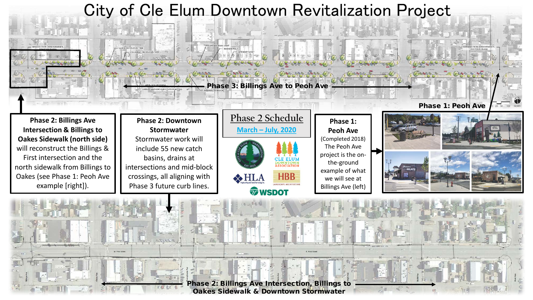

Phase 2: Billings Ave Intersection, Billings to Oakes Sidewalk & Downtown Stormwater